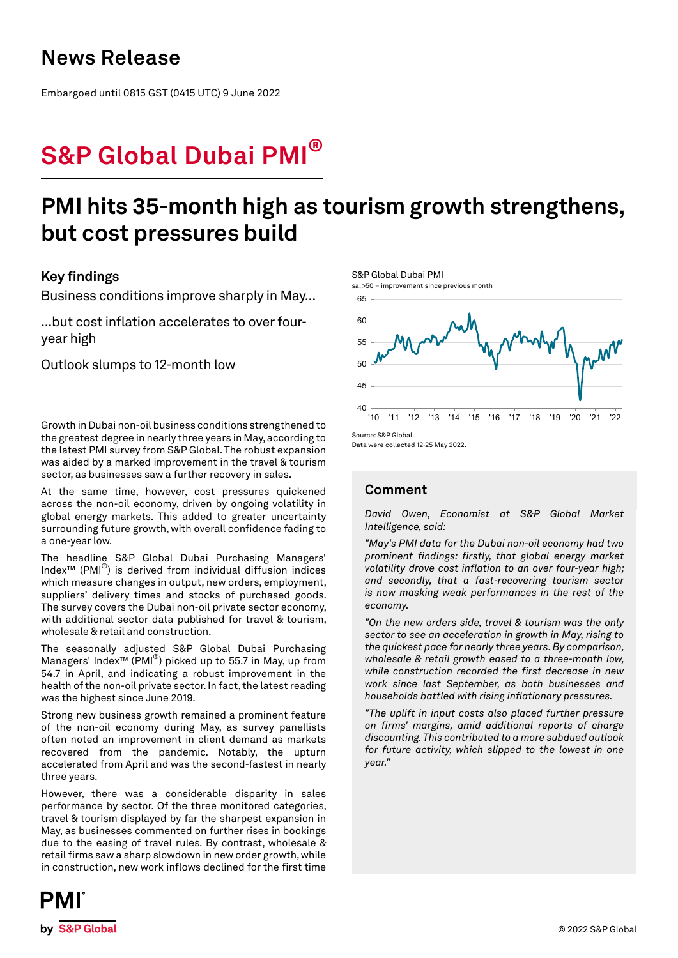## **News Release**

Embargoed until 0815 GST (0415 UTC) 9 June 2022

# **S&P Global Dubai PMI®**

## **PMI hits 35-month high as tourism growth strengthens, but cost pressures build**

## **Key findings**

Business conditions improve sharply in May...

...but cost inflation accelerates to over fouryear high

Outlook slumps to 12-month low

Growth in Dubai non-oil business conditions strengthened to the greatest degree in nearly three years in May, according to the latest PMI survey from S&P Global. The robust expansion was aided by a marked improvement in the travel & tourism sector, as businesses saw a further recovery in sales.

At the same time, however, cost pressures quickened across the non-oil economy, driven by ongoing volatility in global energy markets. This added to greater uncertainty surrounding future growth, with overall confidence fading to a one-year low.

The headline S&P Global Dubai Purchasing Managers' Index™ (PMI®) is derived from individual diffusion indices which measure changes in output, new orders, employment, suppliers' delivery times and stocks of purchased goods. The survey covers the Dubai non-oil private sector economy, with additional sector data published for travel & tourism, wholesale & retail and construction.

The seasonally adjusted S&P Global Dubai Purchasing Managers' Index™ (PMI®) picked up to 55.7 in May, up from 54.7 in April, and indicating a robust improvement in the health of the non-oil private sector. In fact, the latest reading was the highest since June 2019.

Strong new business growth remained a prominent feature of the non-oil economy during May, as survey panellists often noted an improvement in client demand as markets recovered from the pandemic. Notably, the upturn accelerated from April and was the second-fastest in nearly three years.

However, there was a considerable disparity in sales performance by sector. Of the three monitored categories, travel & tourism displayed by far the sharpest expansion in May, as businesses commented on further rises in bookings due to the easing of travel rules. By contrast, wholesale & retail firms saw a sharp slowdown in new order growth, while in construction, new work inflows declined for the first time



Data were collected 12-25 May 2022.

## **Comment**

*David Owen, Economist at S&P Global Market Intelligence, said:* 

*"May's PMI data for the Dubai non-oil economy had two prominent findings: firstly, that global energy market volatility drove cost inflation to an over four-year high; and secondly, that a fast-recovering tourism sector is now masking weak performances in the rest of the economy.* 

*"On the new orders side, travel & tourism was the only sector to see an acceleration in growth in May, rising to the quickest pace for nearly three years. By comparison, wholesale & retail growth eased to a three-month low, while construction recorded the first decrease in new work since last September, as both businesses and households battled with rising inflationary pressures.*

*"The uplift in input costs also placed further pressure on firms' margins, amid additional reports of charge discounting. This contributed to a more subdued outlook for future activity, which slipped to the lowest in one year."*